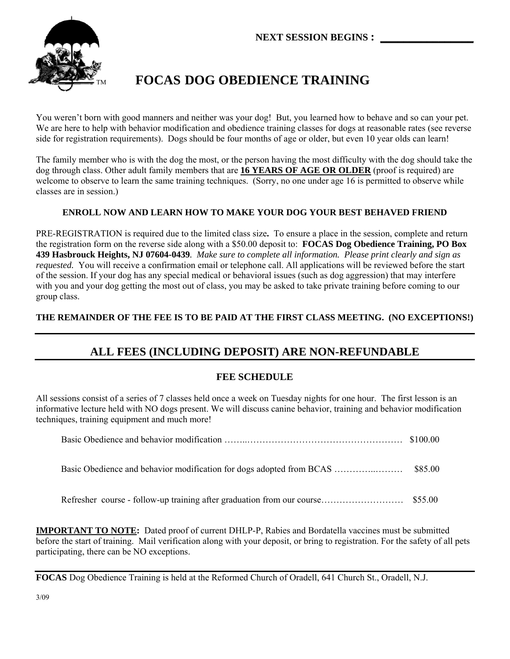

# **FOCAS DOG OBEDIENCE TRAINING**

You weren't born with good manners and neither was your dog! But, you learned how to behave and so can your pet. We are here to help with behavior modification and obedience training classes for dogs at reasonable rates (see reverse side for registration requirements). Dogs should be four months of age or older, but even 10 year olds can learn!

The family member who is with the dog the most, or the person having the most difficulty with the dog should take the dog through class. Other adult family members that are **16 YEARS OF AGE OR OLDER** (proof is required) are welcome to observe to learn the same training techniques. (Sorry, no one under age 16 is permitted to observe while classes are in session.)

## **ENROLL NOW AND LEARN HOW TO MAKE YOUR DOG YOUR BEST BEHAVED FRIEND**

PRE-REGISTRATION is required due to the limited class size**.** To ensure a place in the session, complete and return the registration form on the reverse side along with a \$50.00 deposit to: **FOCAS Dog Obedience Training, PO Box 439 Hasbrouck Heights, NJ 07604-0439***. Make sure to complete all information. Please print clearly and sign as requested.* You will receive a confirmation email or telephone call. All applications will be reviewed before the start of the session. If your dog has any special medical or behavioral issues (such as dog aggression) that may interfere with you and your dog getting the most out of class, you may be asked to take private training before coming to our group class.

## **THE REMAINDER OF THE FEE IS TO BE PAID AT THE FIRST CLASS MEETING. (NO EXCEPTIONS!)**

# **ALL FEES (INCLUDING DEPOSIT) ARE NON-REFUNDABLE**

### **FEE SCHEDULE**

All sessions consist of a series of 7 classes held once a week on Tuesday nights for one hour. The first lesson is an informative lecture held with NO dogs present. We will discuss canine behavior, training and behavior modification techniques, training equipment and much more!

**IMPORTANT TO NOTE:** Dated proof of current DHLP-P, Rabies and Bordatella vaccines must be submitted before the start of training. Mail verification along with your deposit, or bring to registration. For the safety of all pets participating, there can be NO exceptions.

**FOCAS** Dog Obedience Training is held at the Reformed Church of Oradell, 641 Church St., Oradell, N.J.